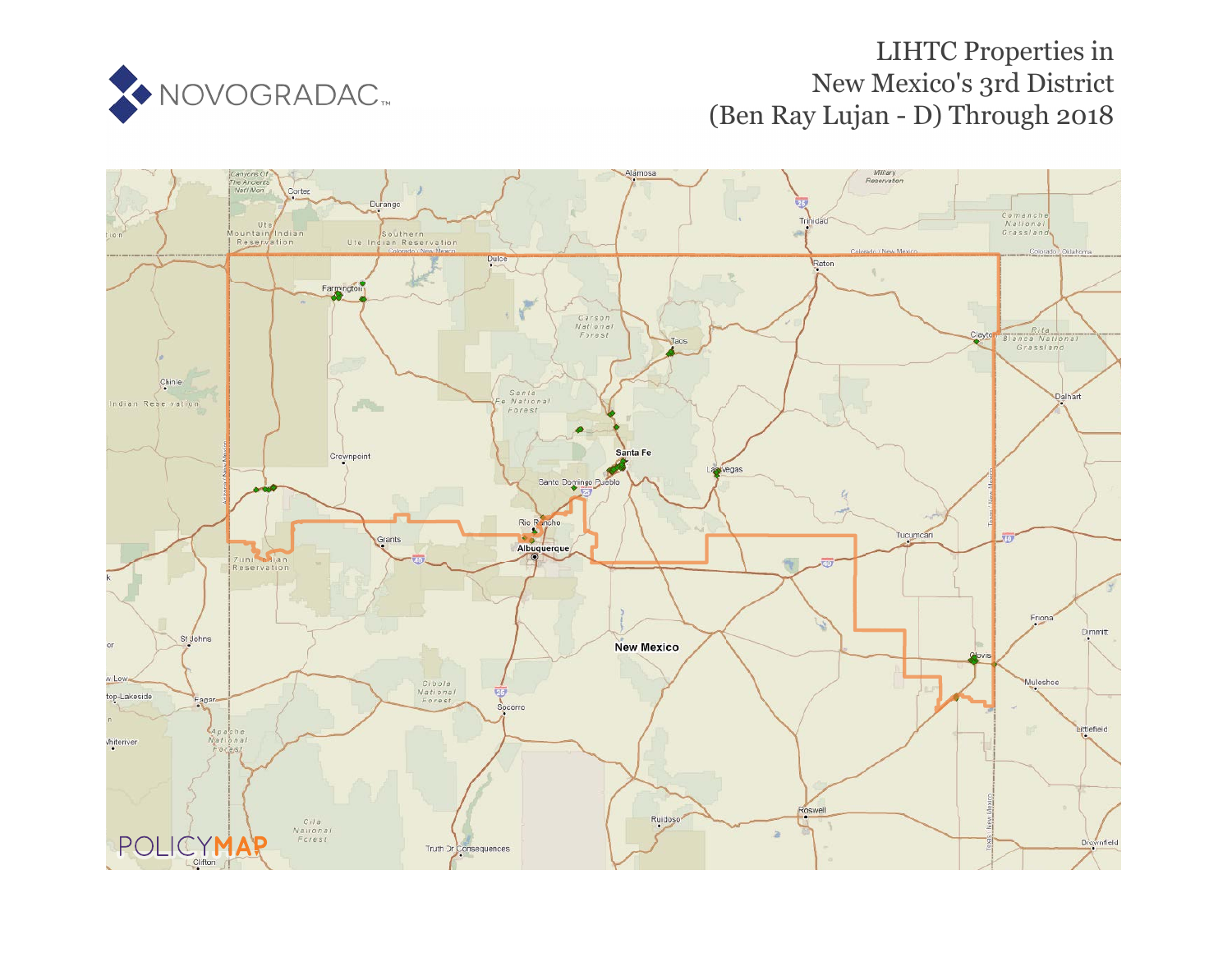

# LIHTC Properties in New Mexico's 3rd District (Ben Ray Lujan - D) Through 2018

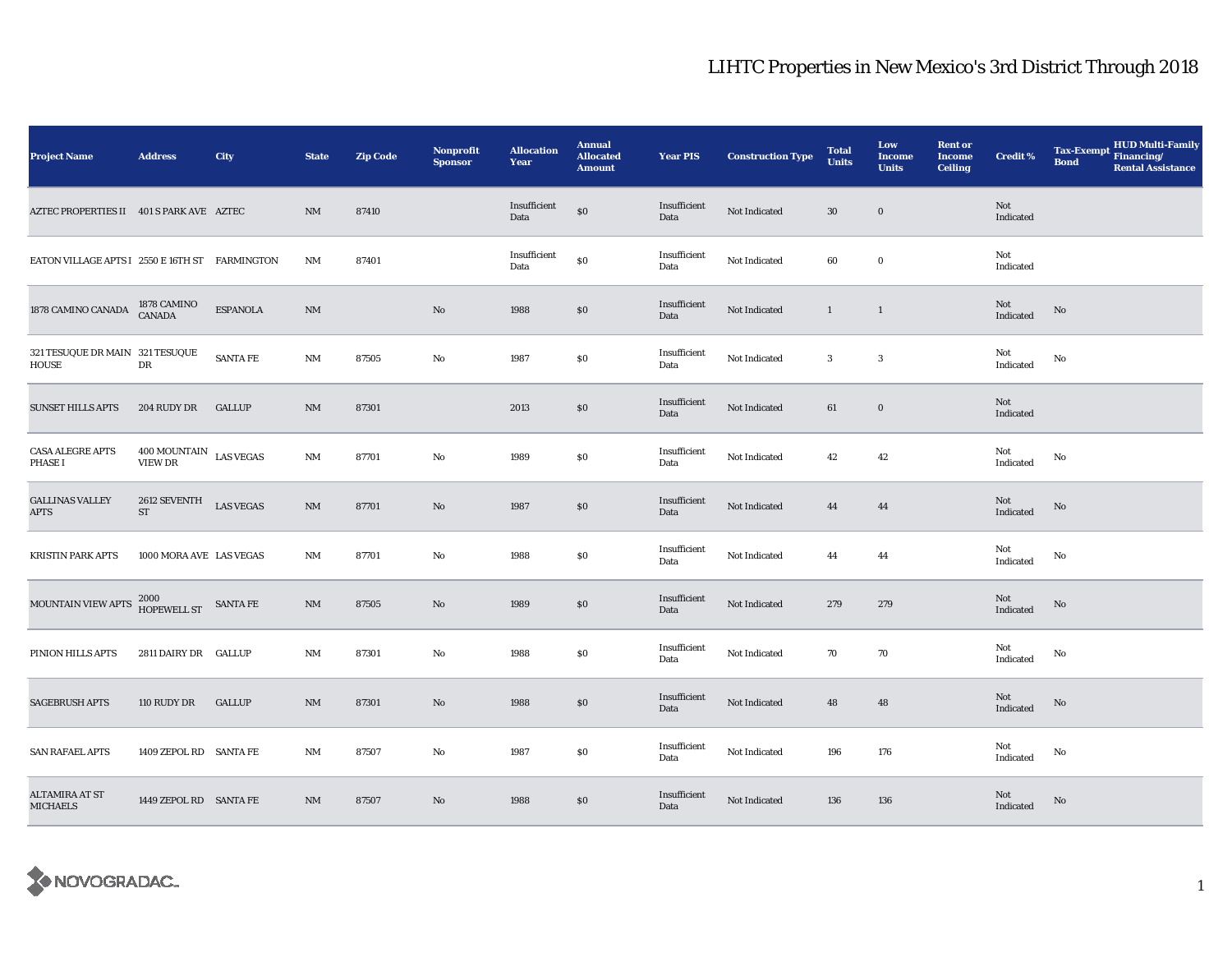| <b>Project Name</b>                             | <b>Address</b>                                                 | City             | <b>State</b>           | <b>Zip Code</b> | <b>Nonprofit</b><br><b>Sponsor</b> | <b>Allocation</b><br>Year | <b>Annual</b><br><b>Allocated</b><br><b>Amount</b> | <b>Year PIS</b>      | <b>Construction Type</b> | <b>Total</b><br><b>Units</b> | Low<br>Income<br><b>Units</b> | <b>Rent or</b><br><b>Income</b><br><b>Ceiling</b> | <b>Credit %</b>  | <b>HUD Multi-Family</b><br><b>Tax-Exempt</b><br>Financing/<br><b>Bond</b><br><b>Rental Assistance</b> |
|-------------------------------------------------|----------------------------------------------------------------|------------------|------------------------|-----------------|------------------------------------|---------------------------|----------------------------------------------------|----------------------|--------------------------|------------------------------|-------------------------------|---------------------------------------------------|------------------|-------------------------------------------------------------------------------------------------------|
| AZTEC PROPERTIES II 401 S PARK AVE AZTEC        |                                                                |                  | $\mathbf{N}\mathbf{M}$ | 87410           |                                    | Insufficient<br>Data      | $\$0$                                              | Insufficient<br>Data | Not Indicated            | $30\,$                       | $\bf{0}$                      |                                                   | Not<br>Indicated |                                                                                                       |
| EATON VILLAGE APTS I 2550 E 16TH ST FARMINGTON  |                                                                |                  | $\rm{NM}$              | 87401           |                                    | Insufficient<br>Data      | $\$0$                                              | Insufficient<br>Data | Not Indicated            | 60                           | $\bf{0}$                      |                                                   | Not<br>Indicated |                                                                                                       |
| 1878 CAMINO CANADA                              | 1878 CAMINO<br>CANADA                                          | <b>ESPANOLA</b>  | $\mathbf{N}\mathbf{M}$ |                 | $\rm No$                           | 1988                      | \$0                                                | Insufficient<br>Data | Not Indicated            | $\mathbf{1}$                 | $\mathbf{1}$                  |                                                   | Not<br>Indicated | No                                                                                                    |
| 321 TESUQUE DR MAIN 321 TESUQUE<br><b>HOUSE</b> | ${\rm DR}$                                                     | <b>SANTA FE</b>  | NM                     | 87505           | $\rm No$                           | 1987                      | $\$0$                                              | Insufficient<br>Data | Not Indicated            | $\mathbf{3}$                 | $\sqrt{3}$                    |                                                   | Not<br>Indicated | No                                                                                                    |
| <b>SUNSET HILLS APTS</b>                        | 204 RUDY DR                                                    | <b>GALLUP</b>    | $\mathbf{N}\mathbf{M}$ | 87301           |                                    | 2013                      | \$0                                                | Insufficient<br>Data | Not Indicated            | 61                           | $\mathbf 0$                   |                                                   | Not<br>Indicated |                                                                                                       |
| CASA ALEGRE APTS<br><b>PHASE I</b>              | $400\,\mbox{MOUNTAIN}$ $_{\mbox{LAS}}$ VEGAS<br><b>VIEW DR</b> |                  | $\rm{NM}$              | 87701           | No                                 | 1989                      | $\$0$                                              | Insufficient<br>Data | Not Indicated            | 42                           | 42                            |                                                   | Not<br>Indicated | No                                                                                                    |
| <b>GALLINAS VALLEY</b><br>APTS                  | $2612$ SEVENTH<br>$ST$                                         | <b>LAS VEGAS</b> | NM                     | 87701           | No                                 | 1987                      | \$0                                                | Insufficient<br>Data | Not Indicated            | 44                           | 44                            |                                                   | Not<br>Indicated | No                                                                                                    |
| <b>KRISTIN PARK APTS</b>                        | 1000 MORA AVE LAS VEGAS                                        |                  | NM                     | 87701           | $\rm No$                           | 1988                      | $\$0$                                              | Insufficient<br>Data | Not Indicated            | 44                           | 44                            |                                                   | Not<br>Indicated | No                                                                                                    |
| MOUNTAIN VIEW APTS                              | $2000\,$ $\,$ SANTA FE HOPEWELL ST                             |                  | $\rm{NM}$              | 87505           | No                                 | 1989                      | \$0                                                | Insufficient<br>Data | Not Indicated            | 279                          | 279                           |                                                   | Not<br>Indicated | No                                                                                                    |
| PINION HILLS APTS                               | 2811 DAIRY DR GALLUP                                           |                  | NM                     | 87301           | No                                 | 1988                      | $\$0$                                              | Insufficient<br>Data | Not Indicated            | 70                           | 70                            |                                                   | Not<br>Indicated | No                                                                                                    |
| <b>SAGEBRUSH APTS</b>                           | 110 RUDY DR                                                    | <b>GALLUP</b>    | $\mathbf{N}\mathbf{M}$ | 87301           | $\mathbf{No}$                      | 1988                      | $\$0$                                              | Insufficient<br>Data | Not Indicated            | 48                           | 48                            |                                                   | Not<br>Indicated | No                                                                                                    |
| <b>SAN RAFAEL APTS</b>                          | 1409 ZEPOL RD SANTA FE                                         |                  | NM                     | 87507           | No                                 | 1987                      | $\$0$                                              | Insufficient<br>Data | Not Indicated            | 196                          | 176                           |                                                   | Not<br>Indicated | No                                                                                                    |
| ALTAMIRA AT ST<br><b>MICHAELS</b>               | 1449 ZEPOL RD SANTA FE                                         |                  | $\mathbf{N}\mathbf{M}$ | 87507           | No                                 | 1988                      | \$0                                                | Insufficient<br>Data | Not Indicated            | 136                          | 136                           |                                                   | Not<br>Indicated | No                                                                                                    |

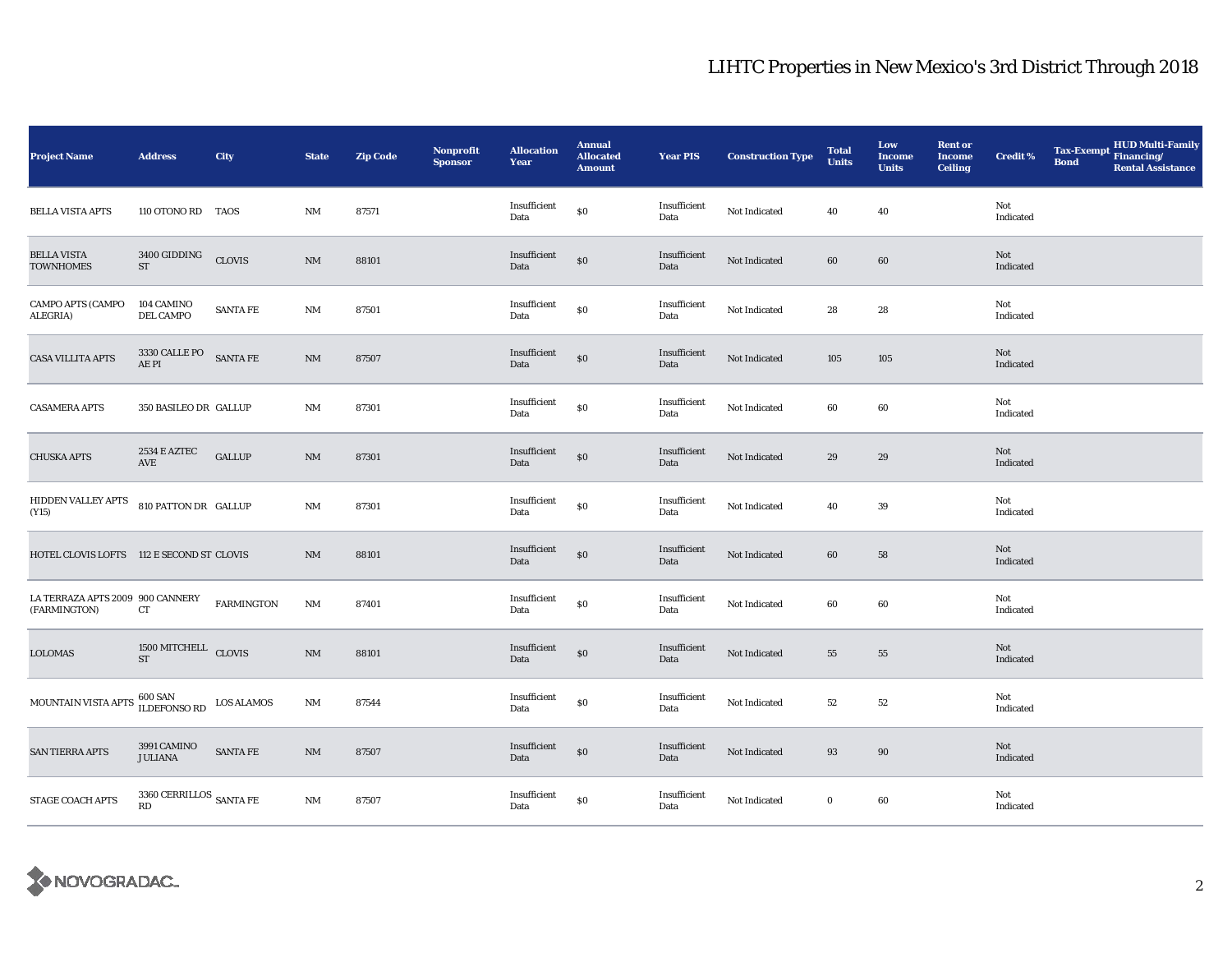| <b>Project Name</b>                              | <b>Address</b>                                | City            | <b>State</b>           | <b>Zip Code</b> | <b>Nonprofit</b><br><b>Sponsor</b> | <b>Allocation</b><br>Year | <b>Annual</b><br><b>Allocated</b><br><b>Amount</b> | <b>Year PIS</b>      | <b>Construction Type</b> | <b>Total</b><br><b>Units</b> | Low<br><b>Income</b><br><b>Units</b> | <b>Rent or</b><br><b>Income</b><br><b>Ceiling</b> | <b>Credit %</b>         | <b>Bond</b> | Tax-Exempt HUD Multi-Family<br><b>Rental Assistance</b> |
|--------------------------------------------------|-----------------------------------------------|-----------------|------------------------|-----------------|------------------------------------|---------------------------|----------------------------------------------------|----------------------|--------------------------|------------------------------|--------------------------------------|---------------------------------------------------|-------------------------|-------------|---------------------------------------------------------|
| <b>BELLA VISTA APTS</b>                          | 110 OTONO RD TAOS                             |                 | $\rm{NM}$              | 87571           |                                    | Insufficient<br>Data      | $\$0$                                              | Insufficient<br>Data | Not Indicated            | 40                           | 40                                   |                                                   | Not<br>Indicated        |             |                                                         |
| <b>BELLA VISTA</b><br><b>TOWNHOMES</b>           | $3400\,$ GIDDING<br>ST                        | <b>CLOVIS</b>   | $\mathbf{NM}$          | 88101           |                                    | Insufficient<br>Data      | \$0                                                | Insufficient<br>Data | Not Indicated            | 60                           | $60\,$                               |                                                   | Not<br>Indicated        |             |                                                         |
| CAMPO APTS (CAMPO<br><b>ALEGRIA)</b>             | 104 CAMINO<br>DEL CAMPO                       | <b>SANTA FE</b> | NM                     | 87501           |                                    | Insufficient<br>Data      | $\$0$                                              | Insufficient<br>Data | Not Indicated            | 28                           | 28                                   |                                                   | Not<br>Indicated        |             |                                                         |
| <b>CASA VILLITA APTS</b>                         | $3330$ CALLE PO $$\sf{SANTA\,FE}$$ AE PI      |                 | $\mathbf{NM}$          | 87507           |                                    | Insufficient<br>Data      | $\$0$                                              | Insufficient<br>Data | Not Indicated            | 105                          | 105                                  |                                                   | Not<br>Indicated        |             |                                                         |
| <b>CASAMERA APTS</b>                             | 350 BASILEO DR GALLUP                         |                 | NM                     | 87301           |                                    | Insufficient<br>Data      | \$0                                                | Insufficient<br>Data | Not Indicated            | 60                           | 60                                   |                                                   | Not<br>Indicated        |             |                                                         |
| <b>CHUSKA APTS</b>                               | 2534 E AZTEC<br>AVE                           | <b>GALLUP</b>   | $\mathrm{NM}$          | 87301           |                                    | Insufficient<br>Data      | \$0                                                | Insufficient<br>Data | Not Indicated            | 29                           | 29                                   |                                                   | <b>Not</b><br>Indicated |             |                                                         |
| HIDDEN VALLEY APTS 810 PATTON DR GALLUP<br>(Y15) |                                               |                 | $\rm{NM}$              | 87301           |                                    | Insufficient<br>Data      | $\$0$                                              | Insufficient<br>Data | Not Indicated            | 40                           | 39                                   |                                                   | Not<br>Indicated        |             |                                                         |
| HOTEL CLOVIS LOFTS 112 E SECOND ST CLOVIS        |                                               |                 | $\rm{NM}$              | 88101           |                                    | Insufficient<br>Data      | \$0                                                | Insufficient<br>Data | Not Indicated            | 60                           | 58                                   |                                                   | Not<br>Indicated        |             |                                                         |
| LA TERRAZA APTS 2009 900 CANNERY<br>(FARMINGTON) | CT                                            | FARMINGTON      | $\mathbf{N}\mathbf{M}$ | 87401           |                                    | Insufficient<br>Data      | \$0                                                | Insufficient<br>Data | Not Indicated            | 60                           | 60                                   |                                                   | Not<br>Indicated        |             |                                                         |
| <b>LOLOMAS</b>                                   | $1500\,\mathrm{MITCHELL}$ CLOVIS<br><b>ST</b> |                 | $\rm{NM}$              | 88101           |                                    | Insufficient<br>Data      | $\$0$                                              | Insufficient<br>Data | Not Indicated            | 55                           | 55                                   |                                                   | Not<br>Indicated        |             |                                                         |
| MOUNTAIN VISTA APTS                              | $600$ SAN $$\tt IDS\,ALAMOS$$                 |                 | $\mathbf{N}\mathbf{M}$ | 87544           |                                    | Insufficient<br>Data      | $\$0$                                              | Insufficient<br>Data | Not Indicated            | $52\,$                       | 52                                   |                                                   | Not<br>Indicated        |             |                                                         |
| <b>SAN TIERRA APTS</b>                           | 3991 CAMINO<br><b>JULIANA</b>                 | SANTA FE        | $\mathbf{NM}$          | 87507           |                                    | Insufficient<br>Data      | \$0                                                | Insufficient<br>Data | Not Indicated            | 93                           | 90                                   |                                                   | Not<br>Indicated        |             |                                                         |
| <b>STAGE COACH APTS</b>                          | 3360 CERRILLOS $\,$ SANTA FE<br>RD            |                 | $\rm{NM}$              | 87507           |                                    | Insufficient<br>Data      | $\$0$                                              | Insufficient<br>Data | Not Indicated            | $\bf{0}$                     | 60                                   |                                                   | Not<br>Indicated        |             |                                                         |

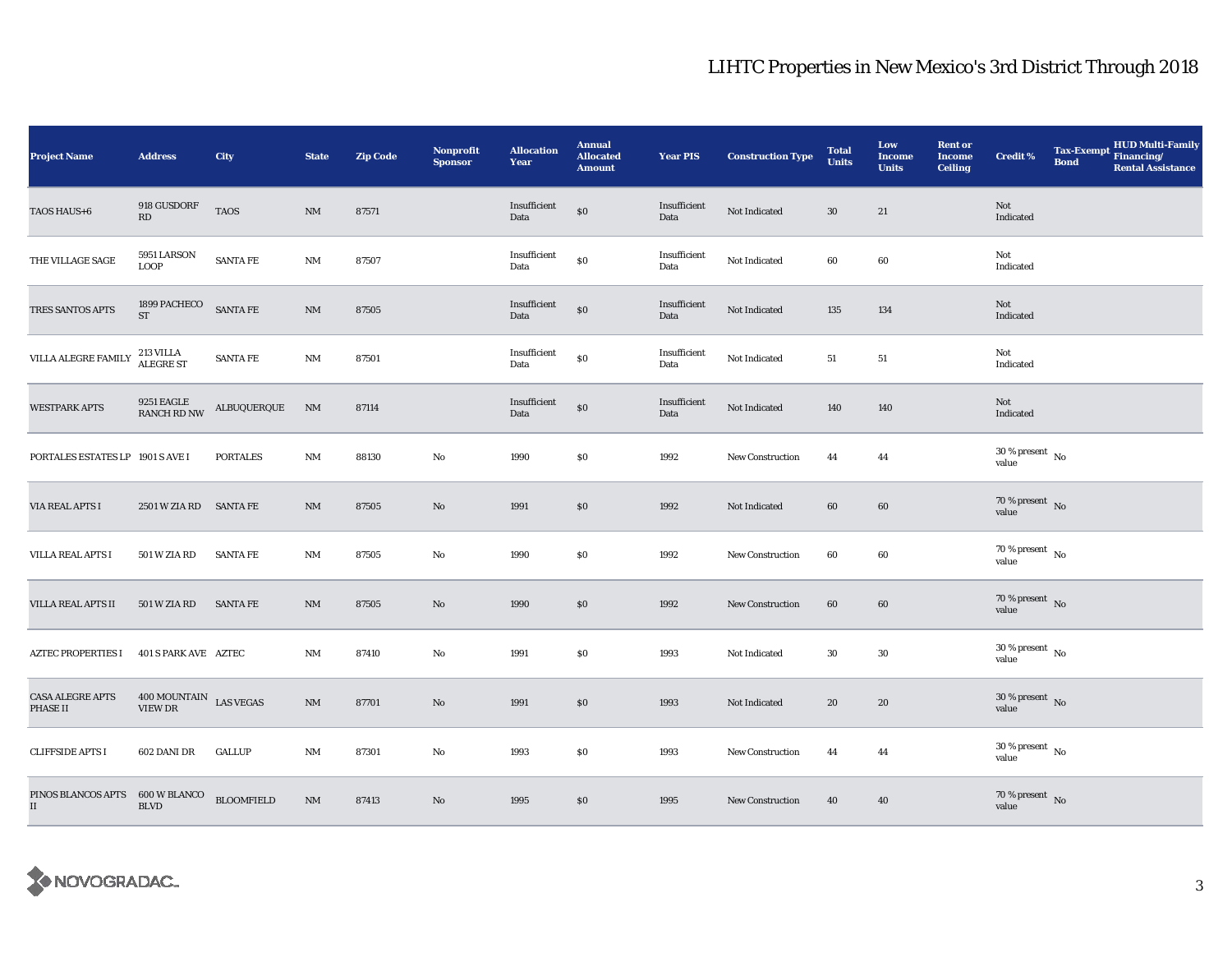| <b>Project Name</b>                        | <b>Address</b>                                      | City              | <b>State</b>           | <b>Zip Code</b> | Nonprofit<br><b>Sponsor</b> | <b>Allocation</b><br>Year | <b>Annual</b><br><b>Allocated</b><br><b>Amount</b> | <b>Year PIS</b>      | <b>Construction Type</b> | <b>Total</b><br><b>Units</b> | Low<br><b>Income</b><br><b>Units</b> | <b>Rent or</b><br><b>Income</b><br><b>Ceiling</b> | <b>Credit %</b>                      | <b>Bond</b> | Tax-Exempt HUD Multi-Family<br><b>Rental Assistance</b> |
|--------------------------------------------|-----------------------------------------------------|-------------------|------------------------|-----------------|-----------------------------|---------------------------|----------------------------------------------------|----------------------|--------------------------|------------------------------|--------------------------------------|---------------------------------------------------|--------------------------------------|-------------|---------------------------------------------------------|
| TAOS HAUS+6                                | 918 GUSDORF<br>RD                                   | <b>TAOS</b>       | $\rm{NM}$              | 87571           |                             | Insufficient<br>Data      | $\$0$                                              | Insufficient<br>Data | Not Indicated            | $30\,$                       | 21                                   |                                                   | Not<br>Indicated                     |             |                                                         |
| THE VILLAGE SAGE                           | 5951 LARSON<br><b>LOOP</b>                          | <b>SANTA FE</b>   | $\rm{NM}$              | 87507           |                             | Insufficient<br>Data      | \$0                                                | Insufficient<br>Data | Not Indicated            | 60                           | 60                                   |                                                   | Not<br>Indicated                     |             |                                                         |
| TRES SANTOS APTS                           | 1899 PACHECO<br>$\operatorname{ST}$                 | SANTA FE          | $\rm{NM}$              | 87505           |                             | Insufficient<br>Data      | $\$0$                                              | Insufficient<br>Data | Not Indicated            | 135                          | 134                                  |                                                   | Not<br>Indicated                     |             |                                                         |
| VILLA ALEGRE FAMILY                        | 213 VILLA<br>ALEGRE ST                              | <b>SANTA FE</b>   | $\rm{NM}$              | 87501           |                             | Insufficient<br>Data      | $\$0$                                              | Insufficient<br>Data | Not Indicated            | 51                           | 51                                   |                                                   | Not<br>Indicated                     |             |                                                         |
| <b>WESTPARK APTS</b>                       | 9251 EAGLE<br>RANCH RD NW                           | ALBUQUERQUE       | NM                     | 87114           |                             | Insufficient<br>Data      | \$0                                                | Insufficient<br>Data | Not Indicated            | 140                          | 140                                  |                                                   | Not<br>Indicated                     |             |                                                         |
| PORTALES ESTATES LP 1901 S AVE I           |                                                     | <b>PORTALES</b>   | $\mathbf{NM}$          | 88130           | $\mathbf {No}$              | 1990                      | \$0                                                | 1992                 | New Construction         | 44                           | 44                                   |                                                   | $30$ % present $\,$ No $\,$<br>value |             |                                                         |
| VIA REAL APTS I                            | 2501 W ZIA RD SANTA FE                              |                   | $\rm{NM}$              | 87505           | No                          | 1991                      | \$0                                                | 1992                 | Not Indicated            | 60                           | 60                                   |                                                   | $70\,\%$ present $${\rm No}$$ value  |             |                                                         |
| <b>VILLA REAL APTS I</b>                   | <b>501 W ZIA RD</b>                                 | <b>SANTA FE</b>   | $\mathbf{NM}$          | 87505           | No                          | 1990                      | $\$0$                                              | 1992                 | <b>New Construction</b>  | 60                           | 60                                   |                                                   | $70\,\%$ present $\,$ No value       |             |                                                         |
| VILLA REAL APTS II                         | 501 W ZIA RD                                        | <b>SANTA FE</b>   | NM                     | 87505           | No                          | 1990                      | \$0                                                | 1992                 | <b>New Construction</b>  | 60                           | 60                                   |                                                   | 70 % present No<br>value             |             |                                                         |
| <b>AZTEC PROPERTIES I</b>                  | 401 S PARK AVE AZTEC                                |                   | $\mathbf{NM}$          | 87410           | No                          | 1991                      | \$0                                                | 1993                 | Not Indicated            | 30                           | 30                                   |                                                   | $30\,\%$ present $\,$ No value       |             |                                                         |
| <b>CASA ALEGRE APTS</b><br><b>PHASE II</b> | $400\, \mbox{MOUNTAIN}$ LAS VEGAS<br><b>VIEW DR</b> |                   | NM                     | 87701           | No                          | 1991                      | \$0                                                | 1993                 | Not Indicated            | 20                           | 20                                   |                                                   | $30\,\%$ present $\,$ No value       |             |                                                         |
| <b>CLIFFSIDE APTS I</b>                    | 602 DANI DR                                         | <b>GALLUP</b>     | $\mathbf{N}\mathbf{M}$ | 87301           | No                          | 1993                      | \$0                                                | 1993                 | New Construction         | 44                           | 44                                   |                                                   | $30\,\%$ present $\,$ No value       |             |                                                         |
| PINOS BLANCOS APTS<br>$\mathbf{I}$         | 600 W BLANCO<br><b>BLVD</b>                         | <b>BLOOMFIELD</b> | $\rm{NM}$              | 87413           | No                          | 1995                      | \$0                                                | 1995                 | <b>New Construction</b>  | 40                           | 40                                   |                                                   | $70\,\%$ present $\,$ No value       |             |                                                         |

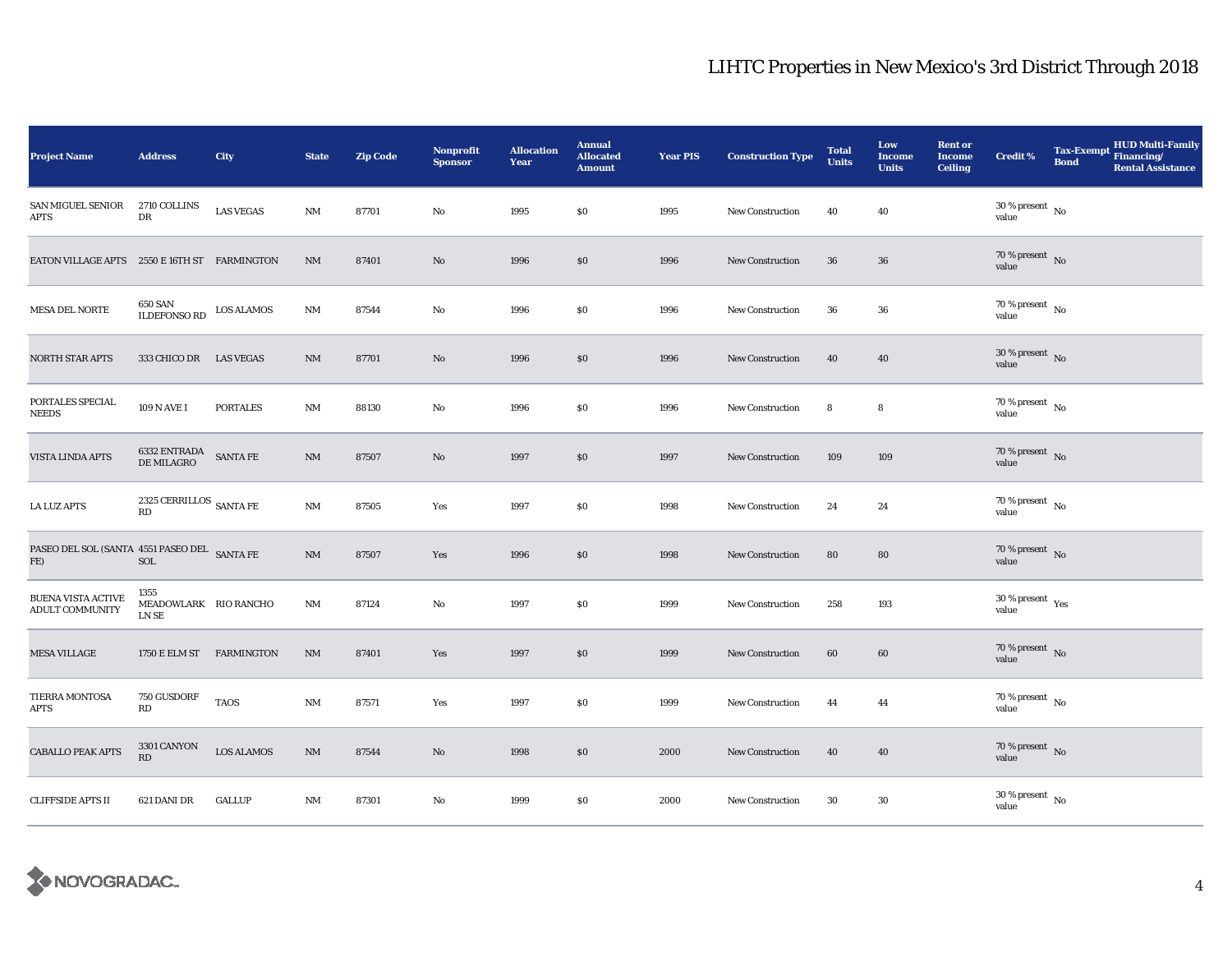| <b>Project Name</b>                                                                                                  | <b>Address</b>                                                                               | City              | <b>State</b>           | <b>Zip Code</b> | <b>Nonprofit</b><br><b>Sponsor</b> | <b>Allocation</b><br>Year | <b>Annual</b><br><b>Allocated</b><br><b>Amount</b> | <b>Year PIS</b> | <b>Construction Type</b> | <b>Total</b><br><b>Units</b> | Low<br><b>Income</b><br><b>Units</b> | <b>Rent or</b><br>Income<br><b>Ceiling</b> | <b>Credit %</b>                           | <b>Bond</b> | <b>HUD Multi-Family</b><br>Tax-Exempt Financing/<br><b>Rental Assistance</b> |
|----------------------------------------------------------------------------------------------------------------------|----------------------------------------------------------------------------------------------|-------------------|------------------------|-----------------|------------------------------------|---------------------------|----------------------------------------------------|-----------------|--------------------------|------------------------------|--------------------------------------|--------------------------------------------|-------------------------------------------|-------------|------------------------------------------------------------------------------|
| SAN MIGUEL SENIOR<br>APTS                                                                                            | 2710 COLLINS<br>DR                                                                           | <b>LAS VEGAS</b>  | $\mathbf{N}\mathbf{M}$ | 87701           | No                                 | 1995                      | $\$0$                                              | 1995            | <b>New Construction</b>  | 40                           | 40                                   |                                            | $30\,\%$ present $\,$ No value            |             |                                                                              |
| EATON VILLAGE APTS 2550 E 16TH ST FARMINGTON                                                                         |                                                                                              |                   | NM                     | 87401           | No                                 | 1996                      | \$0                                                | 1996            | <b>New Construction</b>  | 36                           | $36\,$                               |                                            | 70 % present No<br>value                  |             |                                                                              |
| MESA DEL NORTE                                                                                                       | 650 SAN<br>ILDEFONSO ${\rm RD}$                                                              | <b>LOS ALAMOS</b> | $\rm{NM}$              | 87544           | No                                 | 1996                      | \$0                                                | 1996            | <b>New Construction</b>  | 36                           | 36                                   |                                            | 70 % present $\hbox{~No}$<br>value        |             |                                                                              |
| <b>NORTH STAR APTS</b>                                                                                               | 333 CHICO DR                                                                                 | <b>LAS VEGAS</b>  | $\rm{NM}$              | 87701           | No                                 | 1996                      | \$0                                                | 1996            | <b>New Construction</b>  | 40                           | 40                                   |                                            | $30\,\%$ present $\,$ No value            |             |                                                                              |
| PORTALES SPECIAL<br><b>NEEDS</b>                                                                                     | 109 N AVE I                                                                                  | <b>PORTALES</b>   | $\rm{NM}$              | 88130           | No                                 | 1996                      | $\$0$                                              | 1996            | <b>New Construction</b>  | 8                            | 8                                    |                                            | $70\,\%$ present $\,$ No value            |             |                                                                              |
| <b>VISTA LINDA APTS</b>                                                                                              | $\begin{tabular}{ll} \bf 6332 \; ENTRADA & \tt SANTA \; FE \\ DE \; MILAGRO & \end{tabular}$ |                   | $\mathbf{N}\mathbf{M}$ | 87507           | No                                 | 1997                      | \$0                                                | 1997            | <b>New Construction</b>  | 109                          | 109                                  |                                            | $70\,\%$ present $\,$ No value            |             |                                                                              |
| <b>LA LUZ APTS</b>                                                                                                   | 2325 CERRILLOS $_{\rm SANTA\ FE}$<br>RD                                                      |                   | $\rm{NM}$              | 87505           | Yes                                | 1997                      | $\$0$                                              | 1998            | <b>New Construction</b>  | 24                           | 24                                   |                                            | $70\,\%$ present $\,$ No value            |             |                                                                              |
| ${\begin{tabular}{ll} \bf PASEO DEL SOL (SANTA & 4551 PASEO DEL & \bf SANTA FE \\ \bf FE) & \bf SOL \end{tabular} }$ |                                                                                              |                   | $\rm{NM}$              | 87507           | Yes                                | 1996                      | \$0                                                | 1998            | <b>New Construction</b>  | 80                           | 80                                   |                                            | $70\,\%$ present $\,$ No value            |             |                                                                              |
| <b>BUENA VISTA ACTIVE</b><br>ADULT COMMUNITY                                                                         | 1355<br>MEADOWLARK RIO RANCHO<br>LN SE                                                       |                   | $\rm{NM}$              | 87124           | No                                 | 1997                      | \$0\$                                              | 1999            | New Construction         | 258                          | 193                                  |                                            | $30\,\%$ present $\,$ $\rm{Yes}$<br>value |             |                                                                              |
| <b>MESA VILLAGE</b>                                                                                                  | 1750 E ELM ST FARMINGTON                                                                     |                   | NM                     | 87401           | Yes                                | 1997                      | \$0\$                                              | 1999            | <b>New Construction</b>  | 60                           | 60                                   |                                            | $70\,\%$ present $\,$ No value            |             |                                                                              |
| TIERRA MONTOSA<br><b>APTS</b>                                                                                        | 750 GUSDORF<br>RD                                                                            | <b>TAOS</b>       | $\rm{NM}$              | 87571           | Yes                                | 1997                      | \$0                                                | 1999            | <b>New Construction</b>  | 44                           | 44                                   |                                            | 70 % present $\hbox{~No}$<br>value        |             |                                                                              |
| <b>CABALLO PEAK APTS</b>                                                                                             | 3301 CANYON<br>RD                                                                            | <b>LOS ALAMOS</b> | $\rm{NM}$              | 87544           | No                                 | 1998                      | \$0                                                | 2000            | <b>New Construction</b>  | 40                           | 40                                   |                                            | $70\,\%$ present $\,$ No value            |             |                                                                              |
| <b>CLIFFSIDE APTS II</b>                                                                                             | 621 DANI DR                                                                                  | <b>GALLUP</b>     | $\rm{NM}$              | 87301           | No                                 | 1999                      | $S_{0}$                                            | 2000            | New Construction         | $30\,$                       | 30                                   |                                            | $30\,\%$ present $\,$ No value            |             |                                                                              |

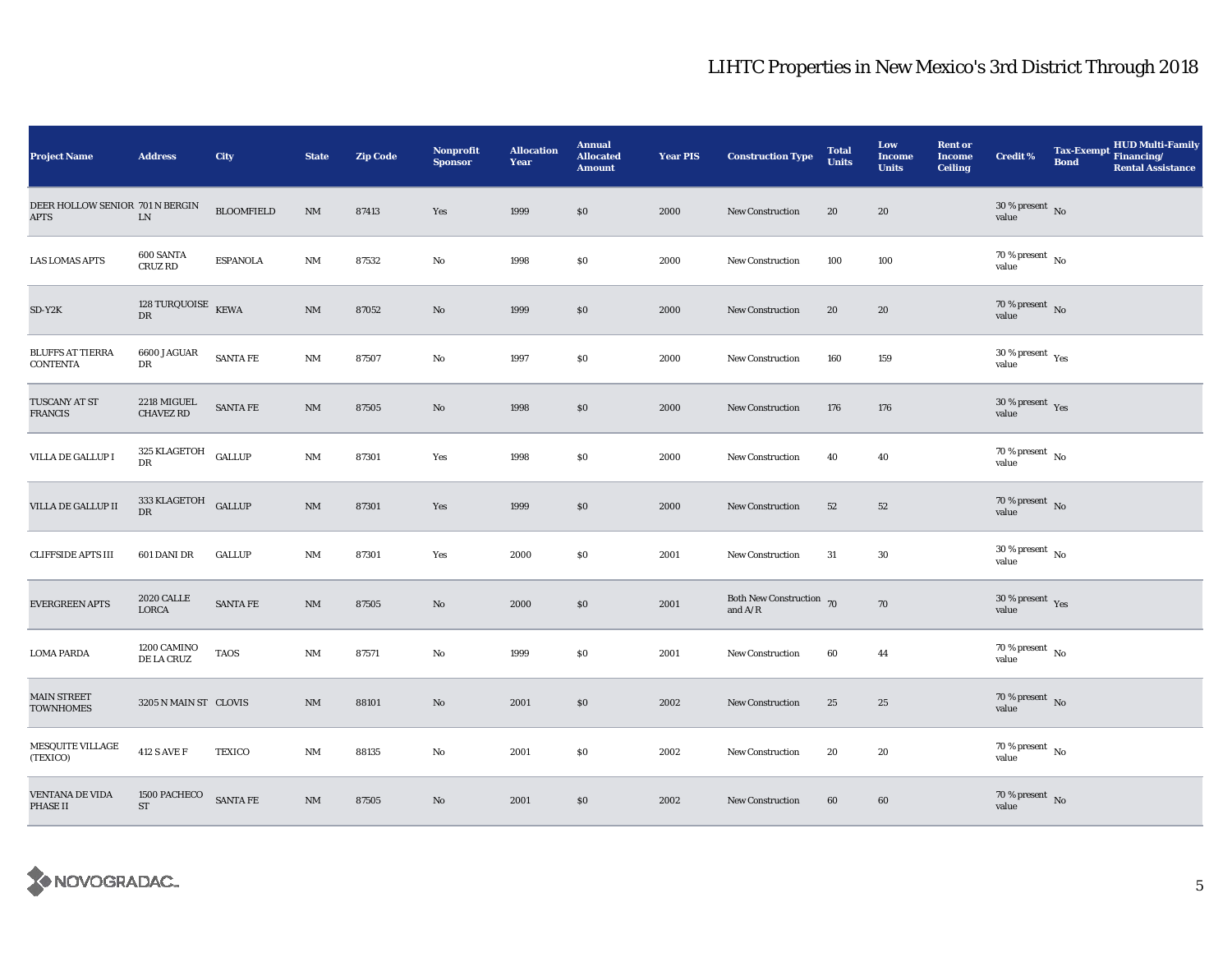| <b>Project Name</b>                        | <b>Address</b>                      | City              | <b>State</b> | <b>Zip Code</b> | Nonprofit<br><b>Sponsor</b> | <b>Allocation</b><br>Year | <b>Annual</b><br><b>Allocated</b><br><b>Amount</b> | <b>Year PIS</b> | <b>Construction Type</b>                                                          | <b>Total</b><br><b>Units</b> | Low<br><b>Income</b><br><b>Units</b> | <b>Rent or</b><br><b>Income</b><br><b>Ceiling</b> | <b>Credit %</b>                        | <b>Bond</b> | Tax-Exempt HUD Multi-Family<br><b>Rental Assistance</b> |
|--------------------------------------------|-------------------------------------|-------------------|--------------|-----------------|-----------------------------|---------------------------|----------------------------------------------------|-----------------|-----------------------------------------------------------------------------------|------------------------------|--------------------------------------|---------------------------------------------------|----------------------------------------|-------------|---------------------------------------------------------|
| DEER HOLLOW SENIOR 701 N BERGIN<br>APTS    | ${\rm LN}$                          | <b>BLOOMFIELD</b> | NM           | 87413           | Yes                         | 1999                      | \$0                                                | 2000            | New Construction                                                                  | 20                           | 20                                   |                                                   | $30\,\%$ present $\,$ No value         |             |                                                         |
| <b>LAS LOMAS APTS</b>                      | 600 SANTA<br>CRUZ RD                | <b>ESPANOLA</b>   | $\rm{NM}$    | 87532           | No                          | 1998                      | $\$0$                                              | 2000            | <b>New Construction</b>                                                           | 100                          | 100                                  |                                                   | $70$ % present $_{\, \rm No}$<br>value |             |                                                         |
| $SD-Y2K$                                   | 128 TURQUOISE $K\to K\to K$<br>DR   |                   | $\rm{NM}$    | 87052           | No                          | 1999                      | $\$0$                                              | 2000            | New Construction                                                                  | 20                           | 20                                   |                                                   | $70\,\%$ present $${\rm No}$$ value    |             |                                                         |
| <b>BLUFFS AT TIERRA</b><br><b>CONTENTA</b> | 6600 JAGUAR<br>DR                   | SANTA FE          | $\rm{NM}$    | 87507           | No                          | 1997                      | \$0                                                | 2000            | New Construction                                                                  | 160                          | 159                                  |                                                   | $30\,\%$ present $\,$ Yes value        |             |                                                         |
| TUSCANY AT ST<br><b>FRANCIS</b>            | 2218 MIGUEL<br><b>CHAVEZ RD</b>     | <b>SANTA FE</b>   | $\rm{NM}$    | 87505           | No                          | 1998                      | \$0                                                | 2000            | New Construction                                                                  | 176                          | 176                                  |                                                   | $30\,\%$ present $\,$ Yes value        |             |                                                         |
| VILLA DE GALLUP I                          | 325 KLAGETOH GALLUP<br>DR           |                   | $\rm{NM}$    | 87301           | Yes                         | 1998                      | \$0                                                | 2000            | New Construction                                                                  | 40                           | 40                                   |                                                   | 70 % present $\,$ No $\,$<br>value     |             |                                                         |
| VILLA DE GALLUP II                         | 333 KLAGETOH GALLUP<br>DR           |                   | NM           | 87301           | Yes                         | 1999                      | \$0                                                | 2000            | <b>New Construction</b>                                                           | 52                           | 52                                   |                                                   | $70\,\%$ present $${\rm No}$$ value    |             |                                                         |
| <b>CLIFFSIDE APTS III</b>                  | 601 DANI DR                         | <b>GALLUP</b>     | $\rm{NM}$    | 87301           | Yes                         | 2000                      | $\$0$                                              | 2001            | <b>New Construction</b>                                                           | 31                           | 30                                   |                                                   | $30\,\%$ present $\,$ No value         |             |                                                         |
| <b>EVERGREEN APTS</b>                      | <b>2020 CALLE</b><br>LORCA          | SANTA FE          | $\rm{NM}$    | 87505           | No                          | 2000                      | \$0                                                | 2001            | Both New Construction 70<br>and $\ensuremath{\mathrm{A}}/\ensuremath{\mathrm{R}}$ |                              | 70                                   |                                                   | 30 % present $Yes$<br>value            |             |                                                         |
| <b>LOMA PARDA</b>                          | 1200 CAMINO<br>DE LA CRUZ           | <b>TAOS</b>       | NM           | 87571           | No                          | 1999                      | \$0                                                | 2001            | New Construction                                                                  | 60                           | 44                                   |                                                   | $70$ % present $\,$ No $\,$<br>value   |             |                                                         |
| <b>MAIN STREET</b><br><b>TOWNHOMES</b>     | 3205 N MAIN ST CLOVIS               |                   | NM           | 88101           | No                          | 2001                      | \$0                                                | 2002            | New Construction                                                                  | 25                           | 25                                   |                                                   | $70\,\%$ present $${\rm No}$$ value    |             |                                                         |
| <b>MESQUITE VILLAGE</b><br>(TEXICO)        | <b>412 S AVE F</b>                  | <b>TEXICO</b>     | $\rm{NM}$    | 88135           | No                          | 2001                      | \$0                                                | 2002            | New Construction                                                                  | 20                           | 20                                   |                                                   | $70\,\%$ present $\,$ No value         |             |                                                         |
| <b>VENTANA DE VIDA</b><br><b>PHASE II</b>  | 1500 PACHECO<br>$\operatorname{ST}$ | SANTA FE          | $\rm{NM}$    | 87505           | No                          | 2001                      | \$0                                                | 2002            | New Construction                                                                  | 60                           | 60                                   |                                                   | $70\,\%$ present $\,$ No value         |             |                                                         |

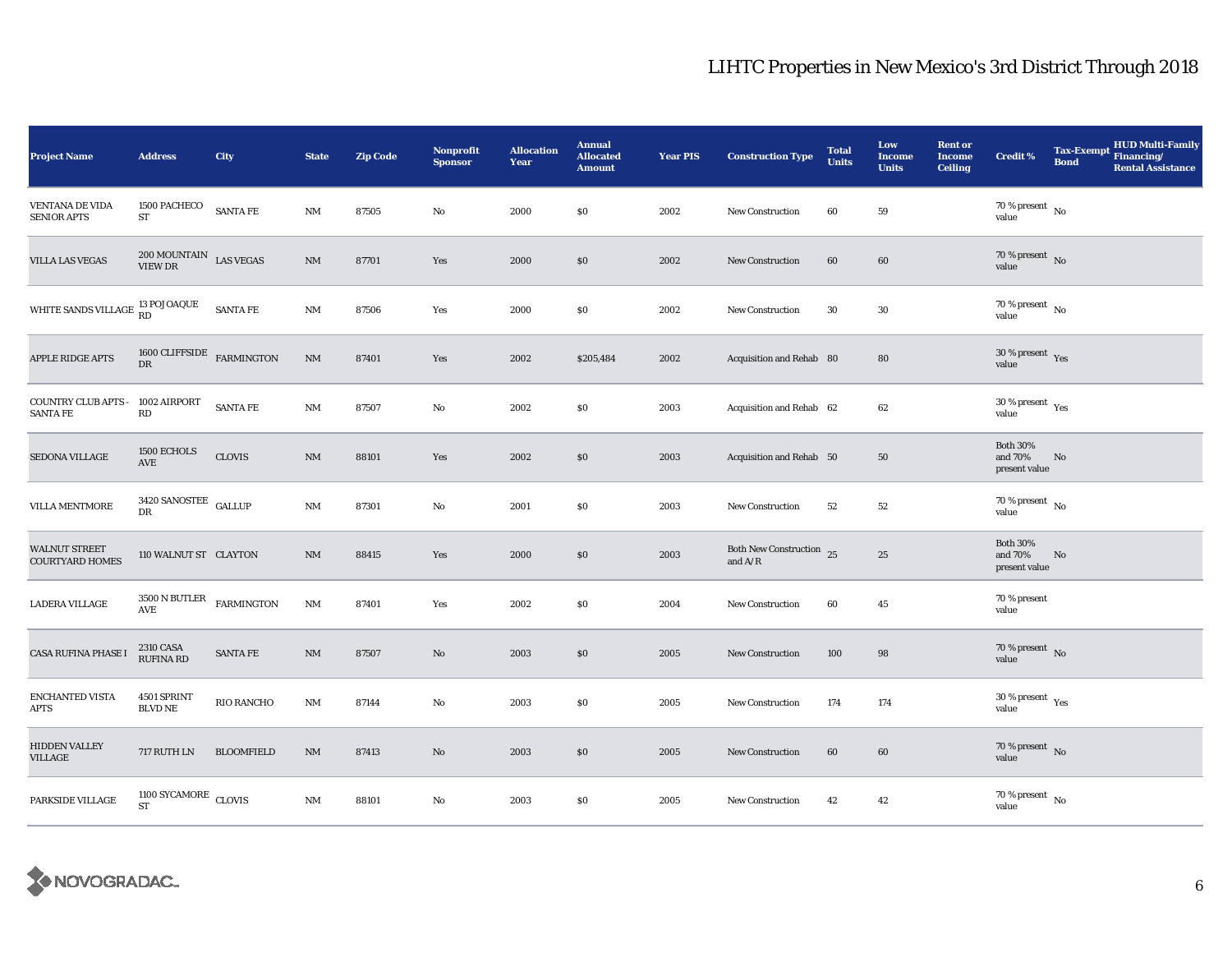| <b>Project Name</b>                            | <b>Address</b>                                              | City              | <b>State</b>           | <b>Zip Code</b> | <b>Nonprofit</b><br><b>Sponsor</b> | <b>Allocation</b><br>Year | <b>Annual</b><br><b>Allocated</b><br><b>Amount</b> | <b>Year PIS</b> | <b>Construction Type</b>              | <b>Total</b><br><b>Units</b> | Low<br><b>Income</b><br><b>Units</b> | <b>Rent or</b><br><b>Income</b><br><b>Ceiling</b> | <b>Credit %</b>                              | <b>Tax-Exempt</b><br><b>Bond</b> | <b>HUD Multi-Family</b><br>Financing/<br><b>Rental Assistance</b> |
|------------------------------------------------|-------------------------------------------------------------|-------------------|------------------------|-----------------|------------------------------------|---------------------------|----------------------------------------------------|-----------------|---------------------------------------|------------------------------|--------------------------------------|---------------------------------------------------|----------------------------------------------|----------------------------------|-------------------------------------------------------------------|
| <b>VENTANA DE VIDA</b><br><b>SENIOR APTS</b>   | 1500 PACHECO<br>ST                                          | <b>SANTA FE</b>   | $\rm{NM}$              | 87505           | $\rm No$                           | 2000                      | \$0                                                | 2002            | <b>New Construction</b>               | 60                           | 59                                   |                                                   | 70 % present $\hbox{~No}$<br>value           |                                  |                                                                   |
| <b>VILLA LAS VEGAS</b>                         | $200\,{\rm MOUNTAIN}$ ${\rm LAS}$ VEGAS VIEW DR             |                   | $\mathrm{NM}$          | 87701           | Yes                                | 2000                      | $\$0$                                              | 2002            | <b>New Construction</b>               | 60                           | 60                                   |                                                   | 70 % present $\overline{N_0}$<br>value       |                                  |                                                                   |
| WHITE SANDS VILLAGE 13 POJOAQUE                |                                                             | SANTA FE          | NM                     | 87506           | Yes                                | 2000                      | \$0                                                | 2002            | New Construction                      | 30                           | 30                                   |                                                   | 70 % present $\overline{N_0}$<br>value       |                                  |                                                                   |
| APPLE RIDGE APTS                               | 1600 CLIFFSIDE $$\tt FARMINGTON$$<br>$\mathbf{D}\mathbf{R}$ |                   | $\rm{NM}$              | 87401           | Yes                                | 2002                      | \$205,484                                          | 2002            | Acquisition and Rehab 80              |                              | 80                                   |                                                   | $30\,\%$ present $\,$ Yes value              |                                  |                                                                   |
| <b>COUNTRY CLUB APTS</b><br><b>SANTA FE</b>    | 1002 AIRPORT<br>$\mathbf{R}\mathbf{D}$                      | <b>SANTA FE</b>   | NM                     | 87507           | $\rm No$                           | 2002                      | \$0                                                | 2003            | Acquisition and Rehab 62              |                              | 62                                   |                                                   | $30$ % present $\rm\thinspace\,Yes$<br>value |                                  |                                                                   |
| SEDONA VILLAGE                                 | 1500 ECHOLS<br>AVE                                          | <b>CLOVIS</b>     | $\rm{NM}$              | 88101           | Yes                                | 2002                      | \$0                                                | 2003            | Acquisition and Rehab 50              |                              | 50                                   |                                                   | <b>Both 30%</b><br>and 70%<br>present value  | No                               |                                                                   |
| <b>VILLA MENTMORE</b>                          | 3420 SANOSTEE GALLUP<br>DR                                  |                   | NM                     | 87301           | $\rm No$                           | 2001                      | \$0                                                | 2003            | New Construction                      | 52                           | 52                                   |                                                   | 70 % present $\hbox{~No}$<br>value           |                                  |                                                                   |
| <b>WALNUT STREET</b><br><b>COURTYARD HOMES</b> | 110 WALNUT ST CLAYTON                                       |                   | $\rm{NM}$              | 88415           | Yes                                | 2000                      | $\$0$                                              | 2003            | Both New Construction 25<br>and $A/R$ |                              | ${\bf 25}$                           |                                                   | <b>Both 30%</b><br>and 70%<br>present value  | No                               |                                                                   |
| <b>LADERA VILLAGE</b>                          | $3500$ N BUTLER $$\rm{FARMINGTON}$$<br>$\operatorname{AVE}$ |                   | $\rm{NM}$              | 87401           | Yes                                | 2002                      | \$0                                                | 2004            | New Construction                      | 60                           | 45                                   |                                                   | 70 % present<br>value                        |                                  |                                                                   |
| CASA RUFINA PHASE I                            | <b>2310 CASA</b><br><b>RUFINA RD</b>                        | <b>SANTA FE</b>   | $\mathbf{N}\mathbf{M}$ | 87507           | $\mathbf{N}\mathbf{o}$             | 2003                      | \$0                                                | 2005            | <b>New Construction</b>               | 100                          | 98                                   |                                                   | 70 % present $\,$ No $\,$<br>value           |                                  |                                                                   |
| ENCHANTED VISTA<br>APTS                        | 4501 SPRINT<br><b>BLVD NE</b>                               | RIO RANCHO        | NM                     | 87144           | No                                 | 2003                      | \$0                                                | 2005            | <b>New Construction</b>               | 174                          | 174                                  |                                                   | $30$ % present $\rm\thinspace\,Yes$<br>value |                                  |                                                                   |
| HIDDEN VALLEY<br>VILLAGE                       | 717 RUTH LN                                                 | <b>BLOOMFIELD</b> | $\rm{NM}$              | 87413           | No                                 | 2003                      | \$0                                                | 2005            | <b>New Construction</b>               | 60                           | 60                                   |                                                   | $70\,\%$ present $\,$ No value               |                                  |                                                                   |
| PARKSIDE VILLAGE                               | 1100 SYCAMORE CLOVIS<br><b>ST</b>                           |                   | $\rm{NM}$              | 88101           | $\rm No$                           | 2003                      | \$0                                                | 2005            | <b>New Construction</b>               | 42                           | 42                                   |                                                   | $70\,\%$ present $\,$ No $\,$<br>value       |                                  |                                                                   |

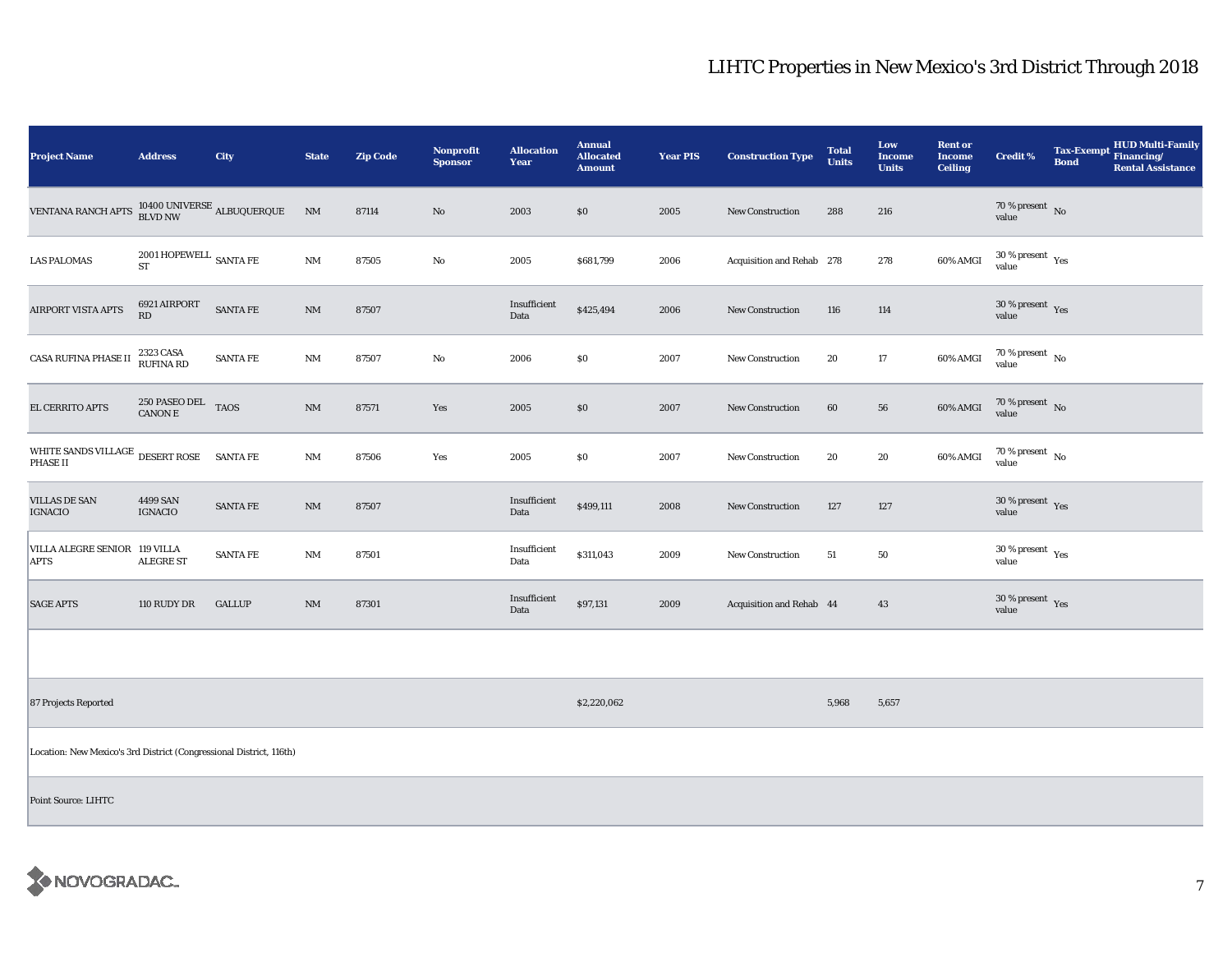| <b>Project Name</b>                                                 | <b>Address</b>                                  | <b>City</b>     | <b>State</b>           | <b>Zip Code</b> | Nonprofit<br><b>Sponsor</b> | <b>Allocation</b><br>Year | <b>Annual</b><br><b>Allocated</b><br><b>Amount</b> | <b>Year PIS</b> | <b>Construction Type</b>  | <b>Total</b><br><b>Units</b> | Low<br>Income<br><b>Units</b> | <b>Rent or</b><br><b>Income</b><br><b>Ceiling</b> | Credit %                                 | <b>Tax-Exempt</b><br><b>Bond</b> | <b>HUD Multi-Family</b><br>Financing/<br><b>Rental Assistance</b> |
|---------------------------------------------------------------------|-------------------------------------------------|-----------------|------------------------|-----------------|-----------------------------|---------------------------|----------------------------------------------------|-----------------|---------------------------|------------------------------|-------------------------------|---------------------------------------------------|------------------------------------------|----------------------------------|-------------------------------------------------------------------|
| <b>VENTANA RANCH APTS</b>                                           | $10400$ UNIVERSE $_{\rm ALBUQUERQUE}$           |                 | NM                     | 87114           | No                          | 2003                      | \$0                                                | 2005            | <b>New Construction</b>   | 288                          | 216                           |                                                   | 70 % present $\hbox{~No}$<br>value       |                                  |                                                                   |
| <b>LAS PALOMAS</b>                                                  | $2001\,\mathrm{HOPEWELL}$ SANTA FE<br>ST        |                 | $\mathbf{N}\mathbf{M}$ | 87505           | No                          | 2005                      | \$681,799                                          | 2006            | Acquisition and Rehab 278 |                              | 278                           | 60% AMGI                                          | $30\,\%$ present $\,$ $\rm Yes$<br>value |                                  |                                                                   |
| AIRPORT VISTA APTS                                                  | 6921 AIRPORT<br>RD                              | SANTA FE        | $\mathbf{N}\mathbf{M}$ | 87507           |                             | Insufficient<br>Data      | \$425,494                                          | 2006            | New Construction          | 116                          | 114                           |                                                   | 30 % present $\gamma_{\rm{es}}$<br>value |                                  |                                                                   |
| CASA RUFINA PHASE II                                                | 2323 CASA<br>RUFINA RD                          | <b>SANTA FE</b> | $\rm{NM}$              | 87507           | No                          | 2006                      | \$0                                                | 2007            | New Construction          | 20                           | 17                            | 60% AMGI                                          | $70$ % present $_{\, \rm No}$<br>value   |                                  |                                                                   |
| EL CERRITO APTS                                                     | $250$ PASEO DEL $_{\rm TAOS}$<br><b>CANON E</b> |                 | NM                     | 87571           | Yes                         | 2005                      | \$0                                                | 2007            | <b>New Construction</b>   | 60                           | ${\bf 56}$                    | 60% AMGI                                          | $70\%$ present No<br>value               |                                  |                                                                   |
| WHITE SANDS VILLAGE $\,$ DESERT ROSE<br>PHASE II                    |                                                 | <b>SANTA FE</b> | $\rm{NM}$              | 87506           | Yes                         | 2005                      | \$0                                                | 2007            | <b>New Construction</b>   | 20                           | 20                            | 60% AMGI                                          | $70$ % present $_{\rm No}$               |                                  |                                                                   |
| <b>VILLAS DE SAN</b><br>IGNACIO                                     | 4499 SAN<br><b>IGNACIO</b>                      | <b>SANTA FE</b> | $\rm{NM}$              | 87507           |                             | Insufficient<br>Data      | \$499,111                                          | 2008            | <b>New Construction</b>   | 127                          | 127                           |                                                   | 30 % present $\gamma_{\rm{es}}$<br>value |                                  |                                                                   |
| VILLA ALEGRE SENIOR 119 VILLA<br><b>APTS</b>                        | <b>ALEGRE ST</b>                                | <b>SANTA FE</b> | $\rm{NM}$              | 87501           |                             | Insufficient<br>Data      | \$311,043                                          | 2009            | New Construction          | 51                           | 50                            |                                                   | $30$ % present $\,$ $\rm Yes$<br>value   |                                  |                                                                   |
| <b>SAGE APTS</b>                                                    | 110 RUDY DR                                     | <b>GALLUP</b>   | NM                     | 87301           |                             | Insufficient<br>Data      | \$97,131                                           | 2009            | Acquisition and Rehab 44  |                              | 43                            |                                                   | $30\,\%$ present $\,$ Yes value          |                                  |                                                                   |
|                                                                     |                                                 |                 |                        |                 |                             |                           |                                                    |                 |                           |                              |                               |                                                   |                                          |                                  |                                                                   |
| 87 Projects Reported                                                |                                                 |                 |                        |                 |                             |                           | \$2,220,062                                        |                 |                           | 5,968                        | 5,657                         |                                                   |                                          |                                  |                                                                   |
| Location: New Mexico's 3rd District (Congressional District, 116th) |                                                 |                 |                        |                 |                             |                           |                                                    |                 |                           |                              |                               |                                                   |                                          |                                  |                                                                   |
| <b>Point Source: LIHTC</b>                                          |                                                 |                 |                        |                 |                             |                           |                                                    |                 |                           |                              |                               |                                                   |                                          |                                  |                                                                   |